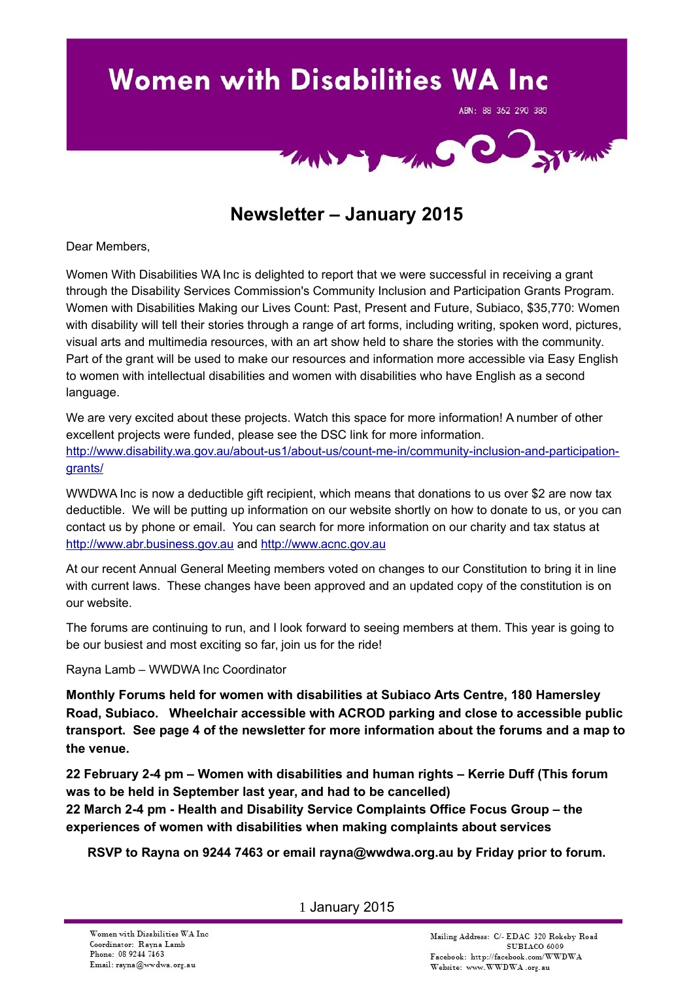

# **Newsletter – January 2015**

Dear Members,

Women With Disabilities WA Inc is delighted to report that we were successful in receiving a grant through the Disability Services Commission's Community Inclusion and Participation Grants Program. Women with Disabilities Making our Lives Count: Past, Present and Future, Subiaco, \$35,770: Women with disability will tell their stories through a range of art forms, including writing, spoken word, pictures, visual arts and multimedia resources, with an art show held to share the stories with the community. Part of the grant will be used to make our resources and information more accessible via Easy English to women with intellectual disabilities and women with disabilities who have English as a second language.

We are very excited about these projects. Watch this space for more information! A number of other excellent projects were funded, please see the DSC link for more information. [http://www.disability.wa.gov.au/about-us1/about-us/count-me-in/community-inclusion-and-participation](http://www.disability.wa.gov.au/about-us1/about-us/count-me-in/community-inclusion-and-participation-grants/)[grants/](http://www.disability.wa.gov.au/about-us1/about-us/count-me-in/community-inclusion-and-participation-grants/)

WWDWA Inc is now a deductible gift recipient, which means that donations to us over \$2 are now tax deductible. We will be putting up information on our website shortly on how to donate to us, or you can contact us by phone or email. You can search for more information on our charity and tax status at [http://www.abr.business.gov.au](http://www.abr.business.gov.au/) and [http://www.acnc.gov.au](http://www.acnc.gov.au/)

At our recent Annual General Meeting members voted on changes to our Constitution to bring it in line with current laws. These changes have been approved and an updated copy of the constitution is on our website.

The forums are continuing to run, and I look forward to seeing members at them. This year is going to be our busiest and most exciting so far, join us for the ride!

Rayna Lamb – WWDWA Inc Coordinator

**Monthly Forums held for women with disabilities at Subiaco Arts Centre, 180 Hamersley Road, Subiaco. Wheelchair accessible with ACROD parking and close to accessible public transport. See page 4 of the newsletter for more information about the forums and a map to the venue.**

**22 February 2-4 pm – Women with disabilities and human rights – Kerrie Duff (This forum was to be held in September last year, and had to be cancelled)**

**22 March 2-4 pm - Health and Disability Service Complaints Office Focus Group – the experiences of women with disabilities when making complaints about services**

**RSVP to Rayna on 9244 7463 or email rayna@wwdwa.org.au by Friday prior to forum.**

1 January 2015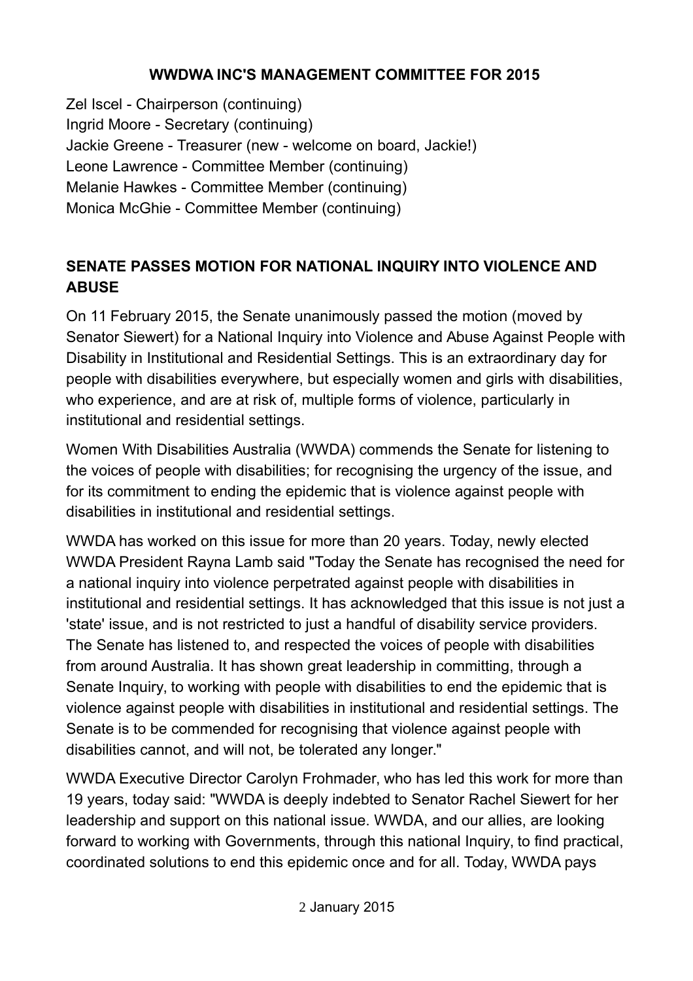#### **WWDWA INC'S MANAGEMENT COMMITTEE FOR 2015**

Zel Iscel - Chairperson (continuing) Ingrid Moore - Secretary (continuing) Jackie Greene - Treasurer (new - welcome on board, Jackie!) Leone Lawrence - Committee Member (continuing) Melanie Hawkes - Committee Member (continuing) Monica McGhie - Committee Member (continuing)

### **SENATE PASSES MOTION FOR NATIONAL INQUIRY INTO VIOLENCE AND ABUSE**

On 11 February 2015, the Senate unanimously passed the motion (moved by Senator Siewert) for a National Inquiry into Violence and Abuse Against People with Disability in Institutional and Residential Settings. This is an extraordinary day for people with disabilities everywhere, but especially women and girls with disabilities, who experience, and are at risk of, multiple forms of violence, particularly in institutional and residential settings.

Women With Disabilities Australia (WWDA) commends the Senate for listening to the voices of people with disabilities; for recognising the urgency of the issue, and for its commitment to ending the epidemic that is violence against people with disabilities in institutional and residential settings.

WWDA has worked on this issue for more than 20 years. Today, newly elected WWDA President Rayna Lamb said "Today the Senate has recognised the need for a national inquiry into violence perpetrated against people with disabilities in institutional and residential settings. It has acknowledged that this issue is not just a 'state' issue, and is not restricted to just a handful of disability service providers. The Senate has listened to, and respected the voices of people with disabilities from around Australia. It has shown great leadership in committing, through a Senate Inquiry, to working with people with disabilities to end the epidemic that is violence against people with disabilities in institutional and residential settings. The Senate is to be commended for recognising that violence against people with disabilities cannot, and will not, be tolerated any longer."

WWDA Executive Director Carolyn Frohmader, who has led this work for more than 19 years, today said: "WWDA is deeply indebted to Senator Rachel Siewert for her leadership and support on this national issue. WWDA, and our allies, are looking forward to working with Governments, through this national Inquiry, to find practical, coordinated solutions to end this epidemic once and for all. Today, WWDA pays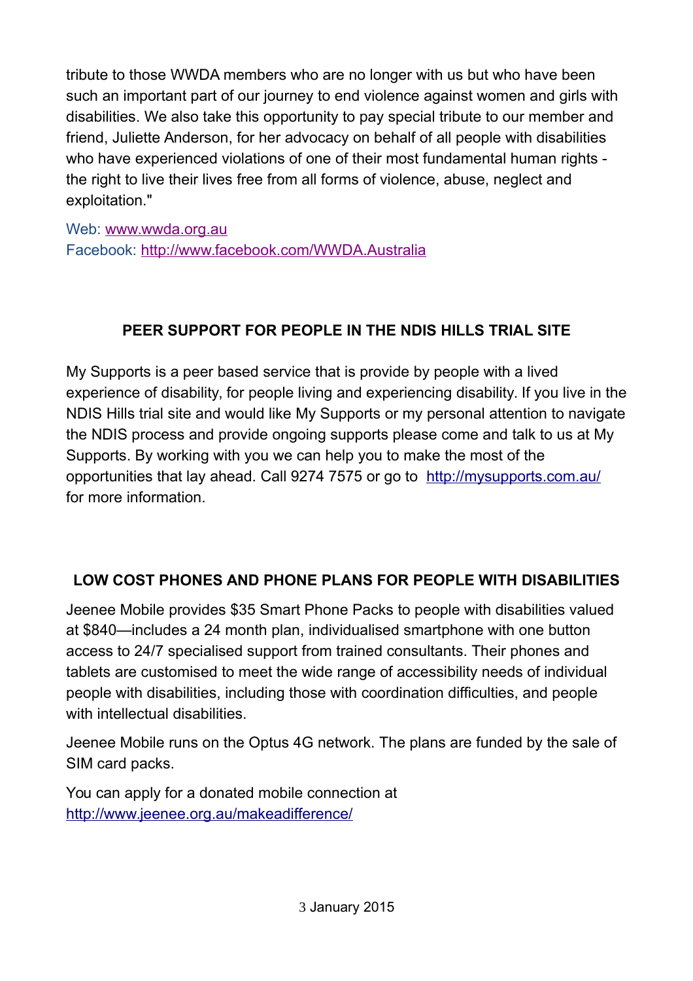tribute to those WWDA members who are no longer with us but who have been such an important part of our journey to end violence against women and girls with disabilities. We also take this opportunity to pay special tribute to our member and friend, Juliette Anderson, for her advocacy on behalf of all people with disabilities who have experienced violations of one of their most fundamental human rights the right to live their lives free from all forms of violence, abuse, neglect and exploitation."

Web: [www.wwda.org.au](http://www.wwda.org.au/) Facebook: <http://www.facebook.com/WWDA.Australia>

## **PEER SUPPORT FOR PEOPLE IN THE NDIS HILLS TRIAL SITE**

My Supports is a peer based service that is provide by people with a lived experience of disability, for people living and experiencing disability. If you live in the NDIS Hills trial site and would like My Supports or my personal attention to navigate the NDIS process and provide ongoing supports please come and talk to us at My Supports. By working with you we can help you to make the most of the opportunities that lay ahead. Call 9274 7575 or go to <http://mysupports.com.au/> for more information.

## **LOW COST PHONES AND PHONE PLANS FOR PEOPLE WITH DISABILITIES**

Jeenee Mobile provides \$35 Smart Phone Packs to people with disabilities valued at \$840—includes a 24 month plan, individualised smartphone with one button access to 24/7 specialised support from trained consultants. Their phones and tablets are customised to meet the wide range of accessibility needs of individual people with disabilities, including those with coordination difficulties, and people with intellectual disabilities.

Jeenee Mobile runs on the Optus 4G network. The plans are funded by the sale of SIM card packs.

You can apply for a donated mobile connection at <http://www.jeenee.org.au/makeadifference/>